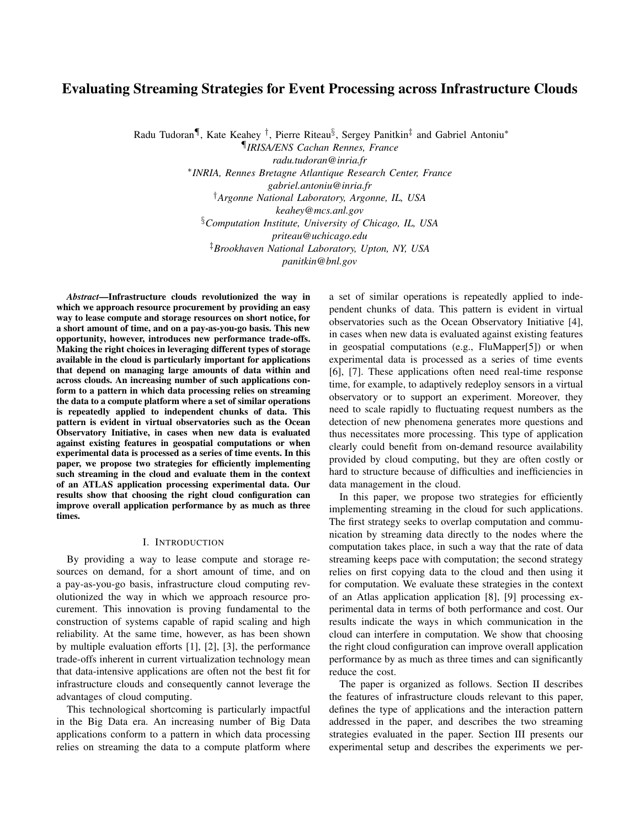# Evaluating Streaming Strategies for Event Processing across Infrastructure Clouds

Radu Tudoran¶, Kate Keahey <sup>†</sup>, Pierre Riteau<sup>§</sup>, Sergey Panitkin<sup>‡</sup> and Gabriel Antoniu\*

¶*IRISA/ENS Cachan Rennes, France*

*radu.tudoran@inria.fr*

∗ *INRIA, Rennes Bretagne Atlantique Research Center, France gabriel.antoniu@inria.fr* †*Argonne National Laboratory, Argonne, IL, USA*

*keahey@mcs.anl.gov* §*Computation Institute, University of Chicago, IL, USA priteau@uchicago.edu* ‡*Brookhaven National Laboratory, Upton, NY, USA*

*panitkin@bnl.gov*

*Abstract*—Infrastructure clouds revolutionized the way in which we approach resource procurement by providing an easy way to lease compute and storage resources on short notice, for a short amount of time, and on a pay-as-you-go basis. This new opportunity, however, introduces new performance trade-offs. Making the right choices in leveraging different types of storage available in the cloud is particularly important for applications that depend on managing large amounts of data within and across clouds. An increasing number of such applications conform to a pattern in which data processing relies on streaming the data to a compute platform where a set of similar operations is repeatedly applied to independent chunks of data. This pattern is evident in virtual observatories such as the Ocean Observatory Initiative, in cases when new data is evaluated against existing features in geospatial computations or when experimental data is processed as a series of time events. In this paper, we propose two strategies for efficiently implementing such streaming in the cloud and evaluate them in the context of an ATLAS application processing experimental data. Our results show that choosing the right cloud configuration can improve overall application performance by as much as three times.

# I. INTRODUCTION

By providing a way to lease compute and storage resources on demand, for a short amount of time, and on a pay-as-you-go basis, infrastructure cloud computing revolutionized the way in which we approach resource procurement. This innovation is proving fundamental to the construction of systems capable of rapid scaling and high reliability. At the same time, however, as has been shown by multiple evaluation efforts [1], [2], [3], the performance trade-offs inherent in current virtualization technology mean that data-intensive applications are often not the best fit for infrastructure clouds and consequently cannot leverage the advantages of cloud computing.

This technological shortcoming is particularly impactful in the Big Data era. An increasing number of Big Data applications conform to a pattern in which data processing relies on streaming the data to a compute platform where a set of similar operations is repeatedly applied to independent chunks of data. This pattern is evident in virtual observatories such as the Ocean Observatory Initiative [4], in cases when new data is evaluated against existing features in geospatial computations (e.g., FluMapper[5]) or when experimental data is processed as a series of time events [6], [7]. These applications often need real-time response time, for example, to adaptively redeploy sensors in a virtual observatory or to support an experiment. Moreover, they need to scale rapidly to fluctuating request numbers as the detection of new phenomena generates more questions and thus necessitates more processing. This type of application clearly could benefit from on-demand resource availability provided by cloud computing, but they are often costly or hard to structure because of difficulties and inefficiencies in data management in the cloud.

In this paper, we propose two strategies for efficiently implementing streaming in the cloud for such applications. The first strategy seeks to overlap computation and communication by streaming data directly to the nodes where the computation takes place, in such a way that the rate of data streaming keeps pace with computation; the second strategy relies on first copying data to the cloud and then using it for computation. We evaluate these strategies in the context of an Atlas application application [8], [9] processing experimental data in terms of both performance and cost. Our results indicate the ways in which communication in the cloud can interfere in computation. We show that choosing the right cloud configuration can improve overall application performance by as much as three times and can significantly reduce the cost.

The paper is organized as follows. Section II describes the features of infrastructure clouds relevant to this paper, defines the type of applications and the interaction pattern addressed in the paper, and describes the two streaming strategies evaluated in the paper. Section III presents our experimental setup and describes the experiments we per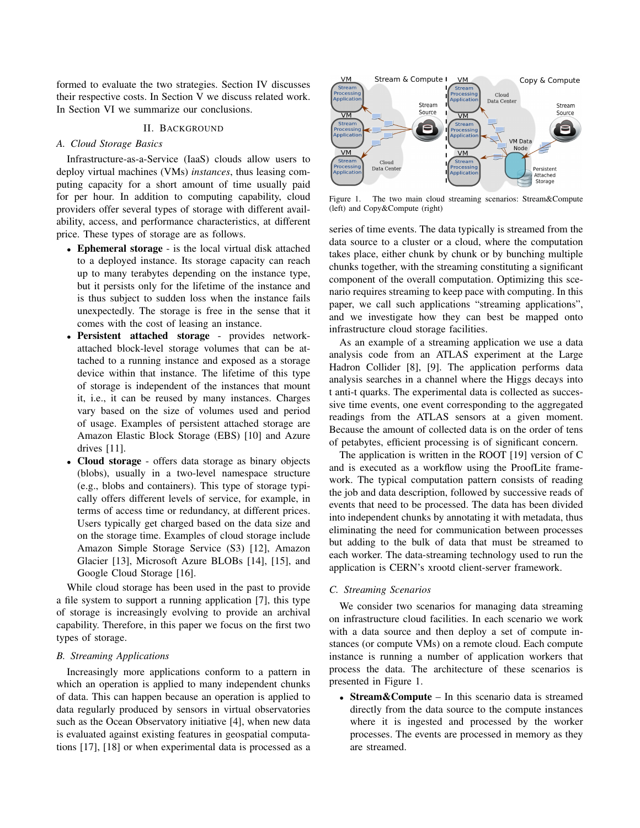formed to evaluate the two strategies. Section IV discusses their respective costs. In Section V we discuss related work. In Section VI we summarize our conclusions.

#### II. BACKGROUND

# *A. Cloud Storage Basics*

Infrastructure-as-a-Service (IaaS) clouds allow users to deploy virtual machines (VMs) *instances*, thus leasing computing capacity for a short amount of time usually paid for per hour. In addition to computing capability, cloud providers offer several types of storage with different availability, access, and performance characteristics, at different price. These types of storage are as follows.

- Ephemeral storage is the local virtual disk attached to a deployed instance. Its storage capacity can reach up to many terabytes depending on the instance type, but it persists only for the lifetime of the instance and is thus subject to sudden loss when the instance fails unexpectedly. The storage is free in the sense that it comes with the cost of leasing an instance.
- Persistent attached storage provides networkattached block-level storage volumes that can be attached to a running instance and exposed as a storage device within that instance. The lifetime of this type of storage is independent of the instances that mount it, i.e., it can be reused by many instances. Charges vary based on the size of volumes used and period of usage. Examples of persistent attached storage are Amazon Elastic Block Storage (EBS) [10] and Azure drives [11].
- Cloud storage offers data storage as binary objects (blobs), usually in a two-level namespace structure (e.g., blobs and containers). This type of storage typically offers different levels of service, for example, in terms of access time or redundancy, at different prices. Users typically get charged based on the data size and on the storage time. Examples of cloud storage include Amazon Simple Storage Service (S3) [12], Amazon Glacier [13], Microsoft Azure BLOBs [14], [15], and Google Cloud Storage [16].

While cloud storage has been used in the past to provide a file system to support a running application [7], this type of storage is increasingly evolving to provide an archival capability. Therefore, in this paper we focus on the first two types of storage.

#### *B. Streaming Applications*

Increasingly more applications conform to a pattern in which an operation is applied to many independent chunks of data. This can happen because an operation is applied to data regularly produced by sensors in virtual observatories such as the Ocean Observatory initiative [4], when new data is evaluated against existing features in geospatial computations [17], [18] or when experimental data is processed as a



Figure 1. The two main cloud streaming scenarios: Stream&Compute (left) and Copy&Compute (right)

series of time events. The data typically is streamed from the data source to a cluster or a cloud, where the computation takes place, either chunk by chunk or by bunching multiple chunks together, with the streaming constituting a significant component of the overall computation. Optimizing this scenario requires streaming to keep pace with computing. In this paper, we call such applications "streaming applications", and we investigate how they can best be mapped onto infrastructure cloud storage facilities.

As an example of a streaming application we use a data analysis code from an ATLAS experiment at the Large Hadron Collider [8], [9]. The application performs data analysis searches in a channel where the Higgs decays into t anti-t quarks. The experimental data is collected as successive time events, one event corresponding to the aggregated readings from the ATLAS sensors at a given moment. Because the amount of collected data is on the order of tens of petabytes, efficient processing is of significant concern.

The application is written in the ROOT [19] version of C and is executed as a workflow using the ProofLite framework. The typical computation pattern consists of reading the job and data description, followed by successive reads of events that need to be processed. The data has been divided into independent chunks by annotating it with metadata, thus eliminating the need for communication between processes but adding to the bulk of data that must be streamed to each worker. The data-streaming technology used to run the application is CERN's xrootd client-server framework.

#### *C. Streaming Scenarios*

We consider two scenarios for managing data streaming on infrastructure cloud facilities. In each scenario we work with a data source and then deploy a set of compute instances (or compute VMs) on a remote cloud. Each compute instance is running a number of application workers that process the data. The architecture of these scenarios is presented in Figure 1.

• Stream&Compute – In this scenario data is streamed directly from the data source to the compute instances where it is ingested and processed by the worker processes. The events are processed in memory as they are streamed.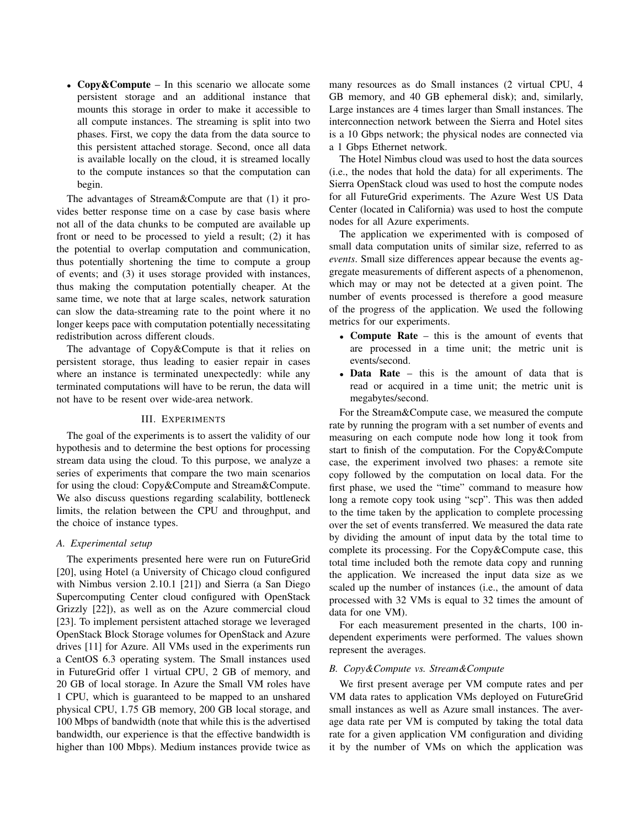• Copy&Compute – In this scenario we allocate some persistent storage and an additional instance that mounts this storage in order to make it accessible to all compute instances. The streaming is split into two phases. First, we copy the data from the data source to this persistent attached storage. Second, once all data is available locally on the cloud, it is streamed locally to the compute instances so that the computation can begin.

The advantages of Stream&Compute are that (1) it provides better response time on a case by case basis where not all of the data chunks to be computed are available up front or need to be processed to yield a result; (2) it has the potential to overlap computation and communication, thus potentially shortening the time to compute a group of events; and (3) it uses storage provided with instances, thus making the computation potentially cheaper. At the same time, we note that at large scales, network saturation can slow the data-streaming rate to the point where it no longer keeps pace with computation potentially necessitating redistribution across different clouds.

The advantage of Copy&Compute is that it relies on persistent storage, thus leading to easier repair in cases where an instance is terminated unexpectedly: while any terminated computations will have to be rerun, the data will not have to be resent over wide-area network.

### III. EXPERIMENTS

The goal of the experiments is to assert the validity of our hypothesis and to determine the best options for processing stream data using the cloud. To this purpose, we analyze a series of experiments that compare the two main scenarios for using the cloud: Copy&Compute and Stream&Compute. We also discuss questions regarding scalability, bottleneck limits, the relation between the CPU and throughput, and the choice of instance types.

#### *A. Experimental setup*

The experiments presented here were run on FutureGrid [20], using Hotel (a University of Chicago cloud configured with Nimbus version 2.10.1 [21]) and Sierra (a San Diego Supercomputing Center cloud configured with OpenStack Grizzly [22]), as well as on the Azure commercial cloud [23]. To implement persistent attached storage we leveraged OpenStack Block Storage volumes for OpenStack and Azure drives [11] for Azure. All VMs used in the experiments run a CentOS 6.3 operating system. The Small instances used in FutureGrid offer 1 virtual CPU, 2 GB of memory, and 20 GB of local storage. In Azure the Small VM roles have 1 CPU, which is guaranteed to be mapped to an unshared physical CPU, 1.75 GB memory, 200 GB local storage, and 100 Mbps of bandwidth (note that while this is the advertised bandwidth, our experience is that the effective bandwidth is higher than 100 Mbps). Medium instances provide twice as many resources as do Small instances (2 virtual CPU, 4 GB memory, and 40 GB ephemeral disk); and, similarly, Large instances are 4 times larger than Small instances. The interconnection network between the Sierra and Hotel sites is a 10 Gbps network; the physical nodes are connected via a 1 Gbps Ethernet network.

The Hotel Nimbus cloud was used to host the data sources (i.e., the nodes that hold the data) for all experiments. The Sierra OpenStack cloud was used to host the compute nodes for all FutureGrid experiments. The Azure West US Data Center (located in California) was used to host the compute nodes for all Azure experiments.

The application we experimented with is composed of small data computation units of similar size, referred to as *events*. Small size differences appear because the events aggregate measurements of different aspects of a phenomenon, which may or may not be detected at a given point. The number of events processed is therefore a good measure of the progress of the application. We used the following metrics for our experiments.

- Compute Rate this is the amount of events that are processed in a time unit; the metric unit is events/second.
- Data Rate this is the amount of data that is read or acquired in a time unit; the metric unit is megabytes/second.

For the Stream&Compute case, we measured the compute rate by running the program with a set number of events and measuring on each compute node how long it took from start to finish of the computation. For the Copy&Compute case, the experiment involved two phases: a remote site copy followed by the computation on local data. For the first phase, we used the "time" command to measure how long a remote copy took using "scp". This was then added to the time taken by the application to complete processing over the set of events transferred. We measured the data rate by dividing the amount of input data by the total time to complete its processing. For the Copy&Compute case, this total time included both the remote data copy and running the application. We increased the input data size as we scaled up the number of instances (i.e., the amount of data processed with 32 VMs is equal to 32 times the amount of data for one VM).

For each measurement presented in the charts, 100 independent experiments were performed. The values shown represent the averages.

# *B. Copy&Compute vs. Stream&Compute*

We first present average per VM compute rates and per VM data rates to application VMs deployed on FutureGrid small instances as well as Azure small instances. The average data rate per VM is computed by taking the total data rate for a given application VM configuration and dividing it by the number of VMs on which the application was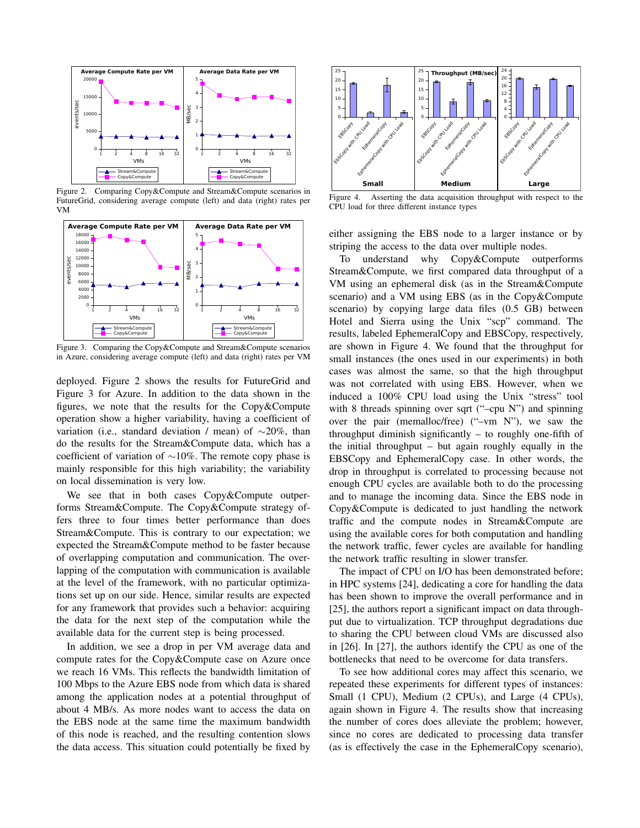

Figure 2. Comparing Copy&Compute and Stream&Compute scenarios in FutureGrid, considering average compute (left) and data (right) rates per VM



Figure 3. Comparing the Copy&Compute and Stream&Compute scenarios in Azure, considering average compute (left) and data (right) rates per VM

deployed. Figure 2 shows the results for FutureGrid and Figure 3 for Azure. In addition to the data shown in the figures, we note that the results for the Copy&Compute operation show a higher variability, having a coefficient of variation (i.e., standard deviation / mean) of ∼20%, than do the results for the Stream&Compute data, which has a coefficient of variation of ∼10%. The remote copy phase is mainly responsible for this high variability; the variability on local dissemination is very low.

We see that in both cases Copy&Compute outperforms Stream&Compute. The Copy&Compute strategy offers three to four times better performance than does Stream&Compute. This is contrary to our expectation; we expected the Stream&Compute method to be faster because of overlapping computation and communication. The overlapping of the computation with communication is available at the level of the framework, with no particular optimizations set up on our side. Hence, similar results are expected for any framework that provides such a behavior: acquiring the data for the next step of the computation while the available data for the current step is being processed.

In addition, we see a drop in per VM average data and compute rates for the Copy&Compute case on Azure once we reach 16 VMs. This reflects the bandwidth limitation of 100 Mbps to the Azure EBS node from which data is shared among the application nodes at a potential throughput of about 4 MB/s. As more nodes want to access the data on the EBS node at the same time the maximum bandwidth of this node is reached, and the resulting contention slows the data access. This situation could potentially be fixed by



Figure 4. Asserting the data acquisition throughput with respect to the CPU load for three different instance types

either assigning the EBS node to a larger instance or by striping the access to the data over multiple nodes.

To understand why Copy&Compute outperforms Stream&Compute, we first compared data throughput of a VM using an ephemeral disk (as in the Stream&Compute scenario) and a VM using EBS (as in the Copy&Compute scenario) by copying large data files (0.5 GB) between Hotel and Sierra using the Unix "scp" command. The results, labeled EphemeralCopy and EBSCopy, respectively, are shown in Figure 4. We found that the throughput for small instances (the ones used in our experiments) in both cases was almost the same, so that the high throughput was not correlated with using EBS. However, when we induced a 100% CPU load using the Unix "stress" tool with 8 threads spinning over sqrt ("-cpu N") and spinning over the pair (memalloc/free) ("–vm N"), we saw the throughput diminish significantly – to roughly one-fifth of the initial throughput – but again roughly equally in the EBSCopy and EphemeralCopy case. In other words, the drop in throughput is correlated to processing because not enough CPU cycles are available both to do the processing and to manage the incoming data. Since the EBS node in Copy&Compute is dedicated to just handling the network traffic and the compute nodes in Stream&Compute are using the available cores for both computation and handling the network traffic, fewer cycles are available for handling the network traffic resulting in slower transfer.

The impact of CPU on I/O has been demonstrated before; in HPC systems [24], dedicating a core for handling the data has been shown to improve the overall performance and in [25], the authors report a significant impact on data throughput due to virtualization. TCP throughput degradations due to sharing the CPU between cloud VMs are discussed also in [26]. In [27], the authors identify the CPU as one of the bottlenecks that need to be overcome for data transfers.

To see how additional cores may affect this scenario, we repeated these experiments for different types of instances: Small (1 CPU), Medium (2 CPUs), and Large (4 CPUs), again shown in Figure 4. The results show that increasing the number of cores does alleviate the problem; however, since no cores are dedicated to processing data transfer (as is effectively the case in the EphemeralCopy scenario),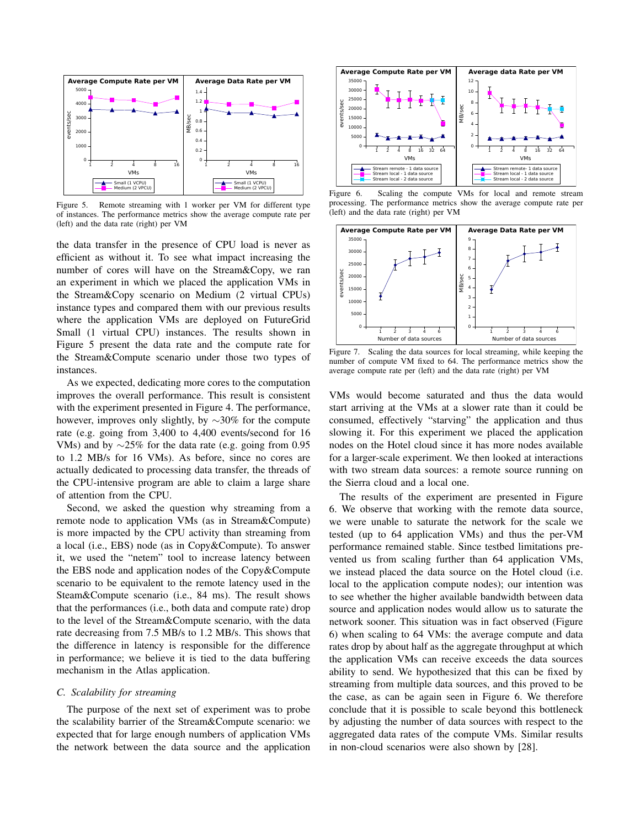

Figure 5. Remote streaming with 1 worker per VM for different type of instances. The performance metrics show the average compute rate per (left) and the data rate (right) per VM

the data transfer in the presence of CPU load is never as efficient as without it. To see what impact increasing the number of cores will have on the Stream&Copy, we ran an experiment in which we placed the application VMs in the Stream&Copy scenario on Medium (2 virtual CPUs) instance types and compared them with our previous results where the application VMs are deployed on FutureGrid Small (1 virtual CPU) instances. The results shown in Figure 5 present the data rate and the compute rate for the Stream&Compute scenario under those two types of instances.

As we expected, dedicating more cores to the computation improves the overall performance. This result is consistent with the experiment presented in Figure 4. The performance, however, improves only slightly, by ∼30% for the compute rate (e.g. going from 3,400 to 4,400 events/second for 16 VMs) and by ∼25% for the data rate (e.g. going from 0.95 to 1.2 MB/s for 16 VMs). As before, since no cores are actually dedicated to processing data transfer, the threads of the CPU-intensive program are able to claim a large share of attention from the CPU.

Second, we asked the question why streaming from a remote node to application VMs (as in Stream&Compute) is more impacted by the CPU activity than streaming from a local (i.e., EBS) node (as in Copy&Compute). To answer it, we used the "netem" tool to increase latency between the EBS node and application nodes of the Copy&Compute scenario to be equivalent to the remote latency used in the Steam&Compute scenario (i.e., 84 ms). The result shows that the performances (i.e., both data and compute rate) drop to the level of the Stream&Compute scenario, with the data rate decreasing from 7.5 MB/s to 1.2 MB/s. This shows that the difference in latency is responsible for the difference in performance; we believe it is tied to the data buffering mechanism in the Atlas application.

## *C. Scalability for streaming*

The purpose of the next set of experiment was to probe the scalability barrier of the Stream&Compute scenario: we expected that for large enough numbers of application VMs the network between the data source and the application



Figure 6. Scaling the compute VMs for local and remote stream processing. The performance metrics show the average compute rate per (left) and the data rate (right) per VM



Figure 7. Scaling the data sources for local streaming, while keeping the number of compute VM fixed to 64. The performance metrics show the average compute rate per (left) and the data rate (right) per VM

VMs would become saturated and thus the data would start arriving at the VMs at a slower rate than it could be consumed, effectively "starving" the application and thus slowing it. For this experiment we placed the application nodes on the Hotel cloud since it has more nodes available for a larger-scale experiment. We then looked at interactions with two stream data sources: a remote source running on the Sierra cloud and a local one.

The results of the experiment are presented in Figure 6. We observe that working with the remote data source, we were unable to saturate the network for the scale we tested (up to 64 application VMs) and thus the per-VM performance remained stable. Since testbed limitations prevented us from scaling further than 64 application VMs, we instead placed the data source on the Hotel cloud (i.e. local to the application compute nodes); our intention was to see whether the higher available bandwidth between data source and application nodes would allow us to saturate the network sooner. This situation was in fact observed (Figure 6) when scaling to 64 VMs: the average compute and data rates drop by about half as the aggregate throughput at which the application VMs can receive exceeds the data sources ability to send. We hypothesized that this can be fixed by streaming from multiple data sources, and this proved to be the case, as can be again seen in Figure 6. We therefore conclude that it is possible to scale beyond this bottleneck by adjusting the number of data sources with respect to the aggregated data rates of the compute VMs. Similar results in non-cloud scenarios were also shown by [28].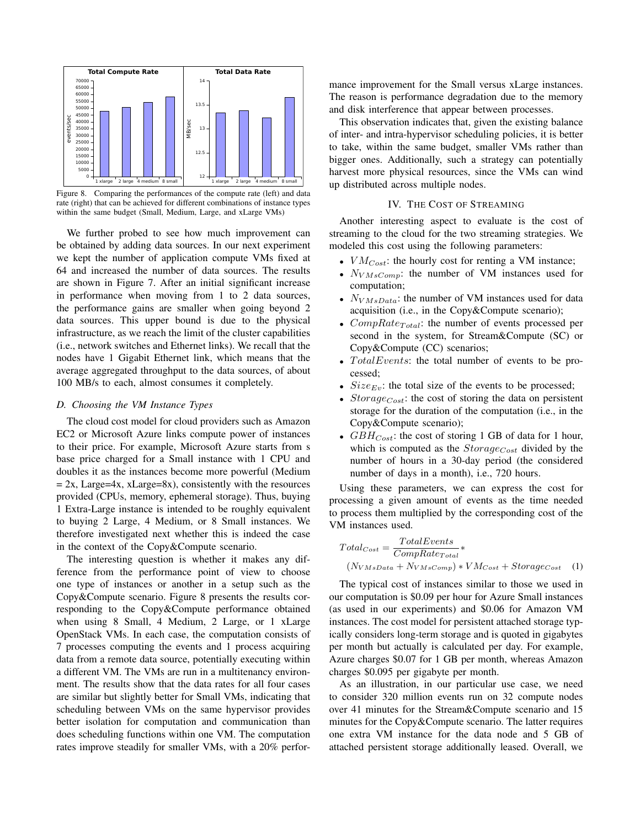

Figure 8. Comparing the performances of the compute rate (left) and data rate (right) that can be achieved for different combinations of instance types within the same budget (Small, Medium, Large, and xLarge VMs)

We further probed to see how much improvement can be obtained by adding data sources. In our next experiment we kept the number of application compute VMs fixed at 64 and increased the number of data sources. The results are shown in Figure 7. After an initial significant increase in performance when moving from 1 to 2 data sources, the performance gains are smaller when going beyond 2 data sources. This upper bound is due to the physical infrastructure, as we reach the limit of the cluster capabilities (i.e., network switches and Ethernet links). We recall that the nodes have 1 Gigabit Ethernet link, which means that the average aggregated throughput to the data sources, of about 100 MB/s to each, almost consumes it completely.

#### *D. Choosing the VM Instance Types*

The cloud cost model for cloud providers such as Amazon EC2 or Microsoft Azure links compute power of instances to their price. For example, Microsoft Azure starts from s base price charged for a Small instance with 1 CPU and doubles it as the instances become more powerful (Medium  $= 2x$ , Large=4x, xLarge=8x), consistently with the resources provided (CPUs, memory, ephemeral storage). Thus, buying 1 Extra-Large instance is intended to be roughly equivalent to buying 2 Large, 4 Medium, or 8 Small instances. We therefore investigated next whether this is indeed the case in the context of the Copy&Compute scenario.

The interesting question is whether it makes any difference from the performance point of view to choose one type of instances or another in a setup such as the Copy&Compute scenario. Figure 8 presents the results corresponding to the Copy&Compute performance obtained when using 8 Small, 4 Medium, 2 Large, or 1 xLarge OpenStack VMs. In each case, the computation consists of 7 processes computing the events and 1 process acquiring data from a remote data source, potentially executing within a different VM. The VMs are run in a multitenancy environment. The results show that the data rates for all four cases are similar but slightly better for Small VMs, indicating that scheduling between VMs on the same hypervisor provides better isolation for computation and communication than does scheduling functions within one VM. The computation rates improve steadily for smaller VMs, with a 20% performance improvement for the Small versus xLarge instances. The reason is performance degradation due to the memory and disk interference that appear between processes.

This observation indicates that, given the existing balance of inter- and intra-hypervisor scheduling policies, it is better to take, within the same budget, smaller VMs rather than bigger ones. Additionally, such a strategy can potentially harvest more physical resources, since the VMs can wind up distributed across multiple nodes.

# IV. THE COST OF STREAMING

Another interesting aspect to evaluate is the cost of streaming to the cloud for the two streaming strategies. We modeled this cost using the following parameters:

- $VM_{Cost}$ : the hourly cost for renting a VM instance;
- $N_{VMsComp}$ : the number of VM instances used for computation;
- $N_{VMsData}$ : the number of VM instances used for data acquisition (i.e., in the Copy&Compute scenario);
- $ComprRate_{Total}$ : the number of events processed per second in the system, for Stream&Compute (SC) or Copy&Compute (CC) scenarios;
- $TotalEvents:$  the total number of events to be processed;
- $Size_{Ev}$ : the total size of the events to be processed;
- Storage<sub>Cost</sub>: the cost of storing the data on persistent storage for the duration of the computation (i.e., in the Copy&Compute scenario);
- $GBH_{Cost}$ : the cost of storing 1 GB of data for 1 hour, which is computed as the  $Storage_{Cost}$  divided by the number of hours in a 30-day period (the considered number of days in a month), i.e., 720 hours.

Using these parameters, we can express the cost for processing a given amount of events as the time needed to process them multiplied by the corresponding cost of the VM instances used.

$$
Total_{Cost} = \frac{TotalEvents}{CompRate_{Total}} * (N_{VMsData} + N_{VMsComp}) * VM_{Cost} + Storage_{Cost}
$$
 (1)

The typical cost of instances similar to those we used in our computation is \$0.09 per hour for Azure Small instances (as used in our experiments) and \$0.06 for Amazon VM instances. The cost model for persistent attached storage typically considers long-term storage and is quoted in gigabytes per month but actually is calculated per day. For example, Azure charges \$0.07 for 1 GB per month, whereas Amazon charges \$0.095 per gigabyte per month.

As an illustration, in our particular use case, we need to consider 320 million events run on 32 compute nodes over 41 minutes for the Stream&Compute scenario and 15 minutes for the Copy&Compute scenario. The latter requires one extra VM instance for the data node and 5 GB of attached persistent storage additionally leased. Overall, we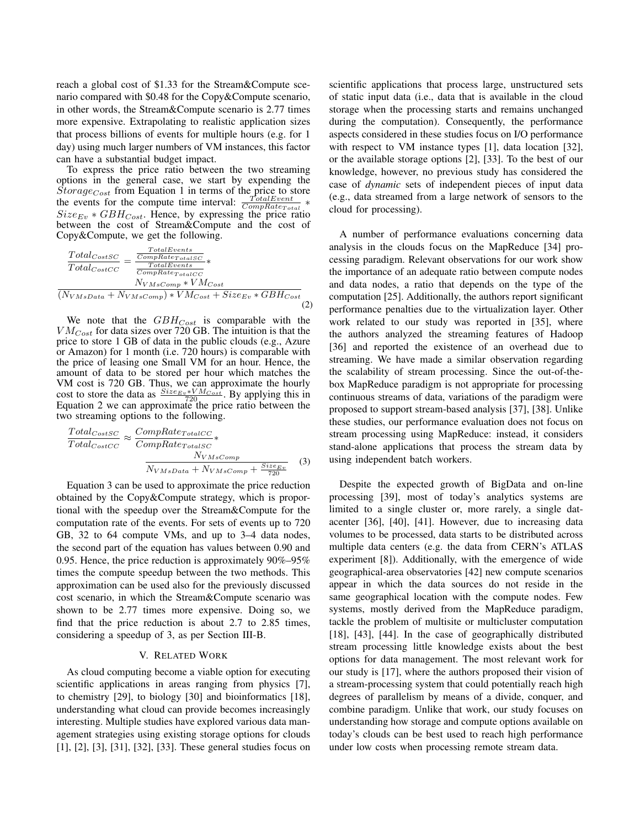reach a global cost of \$1.33 for the Stream&Compute scenario compared with \$0.48 for the Copy&Compute scenario, in other words, the Stream&Compute scenario is 2.77 times more expensive. Extrapolating to realistic application sizes that process billions of events for multiple hours (e.g. for 1 day) using much larger numbers of VM instances, this factor can have a substantial budget impact.

To express the price ratio between the two streaming options in the general case, we start by expending the  $Storage_{Cost}$  from Equation 1 in terms of the price to store the events for the compute time interval:  $\frac{TotalEvent}{CompRate_{Total}}$  \*  $Size_{Ev} * GBH_{Cost}$ . Hence, by expressing the price ratio between the cost of Stream&Compute and the cost of Copy&Compute, we get the following.

| TotalCostSC<br>$Total_{CostCC}$ | TotalEvents<br>$\overline{CompRate_{TotalSC}}$<br>TotalEvents<br>$CompRate_{TotalCC}$<br>$N_{VMsComp} * VM_{Cost}$ |  |
|---------------------------------|--------------------------------------------------------------------------------------------------------------------|--|
|                                 | $(N_{VMsData} + N_{VMsComp})*VM_{Cost} + Size_{Ev}*GBH_{Cost}$                                                     |  |

We note that the  $GBH_{Cost}$  is comparable with the  $VM_{Cost}$  for data sizes over 720 GB. The intuition is that the price to store 1 GB of data in the public clouds (e.g., Azure or Amazon) for 1 month (i.e. 720 hours) is comparable with the price of leasing one Small VM for an hour. Hence, the amount of data to be stored per hour which matches the VM cost is 720 GB. Thus, we can approximate the hourly cost to store the data as  $\frac{Size_{Ev} * VM_{Cost}}{720}$ . By applying this in Equation 2 we can approximate the price ratio between the two streaming options to the following.

$$
\frac{Total_{CostSC}}{Total_{CostCC}} \approx \frac{CompRate_{TotalCC}}{CompRate_{TotalCC}} \times \frac{N_{VMsComp}}{N_{VMsData} + N_{VMsComp} + \frac{Size_{Ev}}{720}} \quad (3)
$$

Equation 3 can be used to approximate the price reduction obtained by the Copy&Compute strategy, which is proportional with the speedup over the Stream&Compute for the computation rate of the events. For sets of events up to 720 GB, 32 to 64 compute VMs, and up to 3–4 data nodes, the second part of the equation has values between 0.90 and 0.95. Hence, the price reduction is approximately 90%–95% times the compute speedup between the two methods. This approximation can be used also for the previously discussed cost scenario, in which the Stream&Compute scenario was shown to be 2.77 times more expensive. Doing so, we find that the price reduction is about 2.7 to 2.85 times, considering a speedup of 3, as per Section III-B.

# V. RELATED WORK

As cloud computing become a viable option for executing scientific applications in areas ranging from physics [7], to chemistry [29], to biology [30] and bioinformatics [18], understanding what cloud can provide becomes increasingly interesting. Multiple studies have explored various data management strategies using existing storage options for clouds [1], [2], [3], [31], [32], [33]. These general studies focus on scientific applications that process large, unstructured sets of static input data (i.e., data that is available in the cloud storage when the processing starts and remains unchanged during the computation). Consequently, the performance aspects considered in these studies focus on I/O performance with respect to VM instance types [1], data location [32], or the available storage options [2], [33]. To the best of our knowledge, however, no previous study has considered the case of *dynamic* sets of independent pieces of input data (e.g., data streamed from a large network of sensors to the cloud for processing).

A number of performance evaluations concerning data analysis in the clouds focus on the MapReduce [34] processing paradigm. Relevant observations for our work show the importance of an adequate ratio between compute nodes and data nodes, a ratio that depends on the type of the computation [25]. Additionally, the authors report significant performance penalties due to the virtualization layer. Other work related to our study was reported in [35], where the authors analyzed the streaming features of Hadoop [36] and reported the existence of an overhead due to streaming. We have made a similar observation regarding the scalability of stream processing. Since the out-of-thebox MapReduce paradigm is not appropriate for processing continuous streams of data, variations of the paradigm were proposed to support stream-based analysis [37], [38]. Unlike these studies, our performance evaluation does not focus on stream processing using MapReduce: instead, it considers stand-alone applications that process the stream data by using independent batch workers.

Despite the expected growth of BigData and on-line processing [39], most of today's analytics systems are limited to a single cluster or, more rarely, a single datacenter [36], [40], [41]. However, due to increasing data volumes to be processed, data starts to be distributed across multiple data centers (e.g. the data from CERN's ATLAS experiment [8]). Additionally, with the emergence of wide geographical-area observatories [42] new compute scenarios appear in which the data sources do not reside in the same geographical location with the compute nodes. Few systems, mostly derived from the MapReduce paradigm, tackle the problem of multisite or multicluster computation [18], [43], [44]. In the case of geographically distributed stream processing little knowledge exists about the best options for data management. The most relevant work for our study is [17], where the authors proposed their vision of a stream-processing system that could potentially reach high degrees of parallelism by means of a divide, conquer, and combine paradigm. Unlike that work, our study focuses on understanding how storage and compute options available on today's clouds can be best used to reach high performance under low costs when processing remote stream data.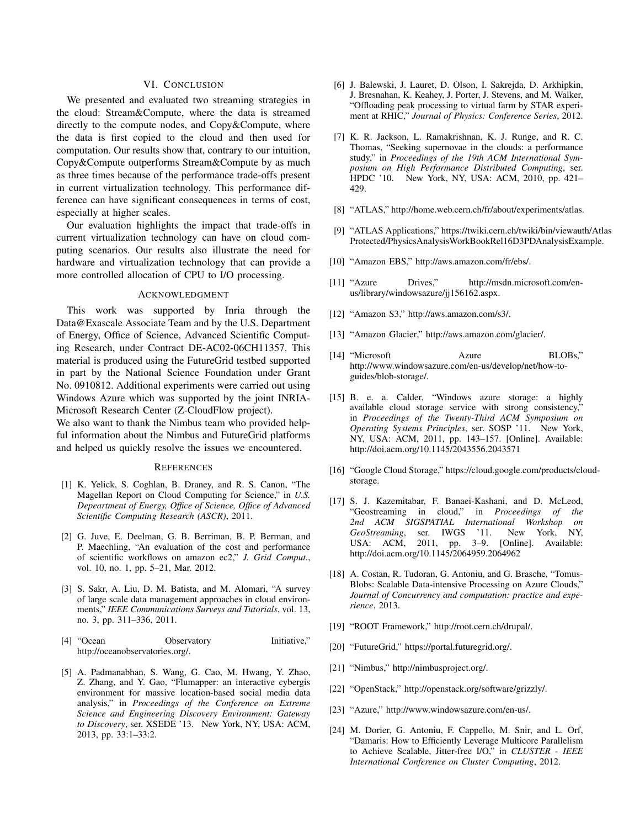# VI. CONCLUSION

We presented and evaluated two streaming strategies in the cloud: Stream&Compute, where the data is streamed directly to the compute nodes, and Copy&Compute, where the data is first copied to the cloud and then used for computation. Our results show that, contrary to our intuition, Copy&Compute outperforms Stream&Compute by as much as three times because of the performance trade-offs present in current virtualization technology. This performance difference can have significant consequences in terms of cost, especially at higher scales.

Our evaluation highlights the impact that trade-offs in current virtualization technology can have on cloud computing scenarios. Our results also illustrate the need for hardware and virtualization technology that can provide a more controlled allocation of CPU to I/O processing.

#### ACKNOWLEDGMENT

This work was supported by Inria through the Data@Exascale Associate Team and by the U.S. Department of Energy, Office of Science, Advanced Scientific Computing Research, under Contract DE-AC02-06CH11357. This material is produced using the FutureGrid testbed supported in part by the National Science Foundation under Grant No. 0910812. Additional experiments were carried out using Windows Azure which was supported by the joint INRIA-Microsoft Research Center (Z-CloudFlow project).

We also want to thank the Nimbus team who provided helpful information about the Nimbus and FutureGrid platforms and helped us quickly resolve the issues we encountered.

#### **REFERENCES**

- [1] K. Yelick, S. Coghlan, B. Draney, and R. S. Canon, "The Magellan Report on Cloud Computing for Science," in *U.S. Depeartment of Energy, Office of Science, Office of Advanced Scientific Computing Research (ASCR)*, 2011.
- [2] G. Juve, E. Deelman, G. B. Berriman, B. P. Berman, and P. Maechling, "An evaluation of the cost and performance of scientific workflows on amazon ec2," *J. Grid Comput.*, vol. 10, no. 1, pp. 5–21, Mar. 2012.
- [3] S. Sakr, A. Liu, D. M. Batista, and M. Alomari, "A survey of large scale data management approaches in cloud environments," *IEEE Communications Surveys and Tutorials*, vol. 13, no. 3, pp. 311–336, 2011.
- [4] "Ocean Observatory Initiative," http://oceanobservatories.org/.
- [5] A. Padmanabhan, S. Wang, G. Cao, M. Hwang, Y. Zhao, Z. Zhang, and Y. Gao, "Flumapper: an interactive cybergis environment for massive location-based social media data analysis," in *Proceedings of the Conference on Extreme Science and Engineering Discovery Environment: Gateway to Discovery*, ser. XSEDE '13. New York, NY, USA: ACM, 2013, pp. 33:1–33:2.
- [6] J. Balewski, J. Lauret, D. Olson, I. Sakrejda, D. Arkhipkin, J. Bresnahan, K. Keahey, J. Porter, J. Stevens, and M. Walker, "Offloading peak processing to virtual farm by STAR experiment at RHIC," *Journal of Physics: Conference Series*, 2012.
- [7] K. R. Jackson, L. Ramakrishnan, K. J. Runge, and R. C. Thomas, "Seeking supernovae in the clouds: a performance study," in *Proceedings of the 19th ACM International Symposium on High Performance Distributed Computing*, ser. HPDC '10. New York, NY, USA: ACM, 2010, pp. 421– 429.
- [8] "ATLAS," http://home.web.cern.ch/fr/about/experiments/atlas.
- [9] "ATLAS Applications," https://twiki.cern.ch/twiki/bin/viewauth/Atlas Protected/PhysicsAnalysisWorkBookRel16D3PDAnalysisExample.
- [10] "Amazon EBS," http://aws.amazon.com/fr/ebs/.
- [11] "Azure Drives," http://msdn.microsoft.com/enus/library/windowsazure/jj156162.aspx.
- [12] "Amazon S3," http://aws.amazon.com/s3/.
- [13] "Amazon Glacier," http://aws.amazon.com/glacier/.
- [14] "Microsoft Azure BLOBs," http://www.windowsazure.com/en-us/develop/net/how-toguides/blob-storage/.
- [15] B. e. a. Calder, "Windows azure storage: a highly available cloud storage service with strong consistency," in *Proceedings of the Twenty-Third ACM Symposium on Operating Systems Principles*, ser. SOSP '11. New York, NY, USA: ACM, 2011, pp. 143–157. [Online]. Available: http://doi.acm.org/10.1145/2043556.2043571
- [16] "Google Cloud Storage," https://cloud.google.com/products/cloudstorage.
- [17] S. J. Kazemitabar, F. Banaei-Kashani, and D. McLeod, "Geostreaming in cloud," in *Proceedings of the 2nd ACM SIGSPATIAL International Workshop on GeoStreaming*, ser. IWGS '11. New USA: ACM, 2011, pp. 3–9. [Online]. Available: http://doi.acm.org/10.1145/2064959.2064962
- [18] A. Costan, R. Tudoran, G. Antoniu, and G. Brasche, "Tomus-Blobs: Scalable Data-intensive Processing on Azure Clouds," *Journal of Concurrency and computation: practice and experience*, 2013.
- [19] "ROOT Framework," http://root.cern.ch/drupal/.
- [20] "FutureGrid," https://portal.futuregrid.org/.
- [21] "Nimbus," http://nimbusproject.org/.
- [22] "OpenStack," http://openstack.org/software/grizzly/.
- [23] "Azure," http://www.windowsazure.com/en-us/.
- [24] M. Dorier, G. Antoniu, F. Cappello, M. Snir, and L. Orf, "Damaris: How to Efficiently Leverage Multicore Parallelism to Achieve Scalable, Jitter-free I/O," in *CLUSTER - IEEE International Conference on Cluster Computing*, 2012.